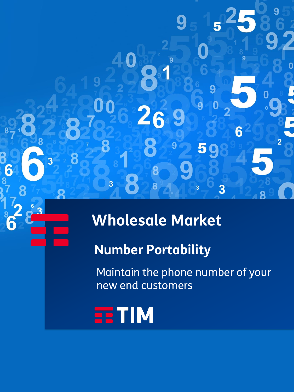# **Wholesale Market**

## **Number Portability**

Maintain the phone number of your new end customers



 $\overline{\mathbf{3}}$ 

 $\boldsymbol{0}$ 

8

 $\overline{3}$ 

Я

6

2

6

9

9

5

 $\overline{3}$ 

6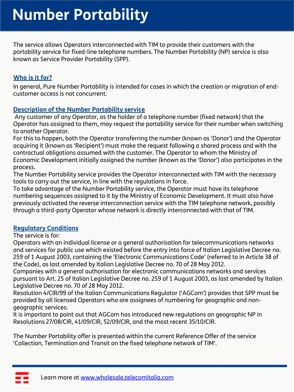The service allows Operators interconnected with TIM to provide their customers with the portability service for fixed-line telephone numbers. The Number Portability (NP) service is also known as Service Provider Portability (SPP).

### **Who is it for?**

In general, Pure Number Portability is intended for cases in which the creation or migration of endcustomer access is not concurrent.

#### **Description of the Number Portability service**

Any customer of any Operator, as the holder of a telephone number (fixed network) that the Operator has assigned to them, may request the portability service for their number when switching to another Operator.

For this to happen, both the Operator transferring the number (known as 'Donor') and the Operator acquiring it (known as 'Recipient') must make the request following a shared process and with the contractual obligations assumed with the customer. The Operator to whom the Ministry of Economic Development initially assigned the number (known as the 'Donor') also participates in the process.

The Number Portability service provides the Operator interconnected with TIM with the necessary tools to carry out the service, in line with the regulations in force.

To take advantage of the Number Portability service, the Operator must have its telephone numbering sequences assigned to it by the Ministry of Economic Development. It must also have previously activated the reverse interconnection service with the TIM telephone network, possibly through a third-party Operator whose network is directly interconnected with that of TIM.

#### **Regulatory Conditions**

#### The service is for:

Operators with an individual license or a general authorisation for telecommunications networks and services for public use which existed before the entry into force of Italian Legislative Decree no. 259 of 1 August 2003, containing the 'Electronic Communications Code' (referred to in Article 38 of the Code), as last amended by Italian Legislative Decree no. 70 of 28 May 2012.

Companies with a general authorisation for electronic communications networks and services pursuant to Art. 25 of Italian Legislative Decree no. 259 of 1 August 2003, as last amended by Italian Legislative Decree no. 70 of 28 May 2012.

Resolution 4/CIR/99 of the Italian Communications Regulator ('AGCom') provides that SPP must be provided by all licensed Operators who are assignees of numbering for geographic and nongeographic services.

It is important to point out that AGCom has introduced new regulations on geographic NP in Resolutions 27/08/CIR, 41/09/CIR, 52/09/CIR, and the most recent 35/10/CIR.

The Number Portability offer is presented within the current Reference Offer of the service 'Collection, Termination and Transit on the fixed telephone network of TIM'.